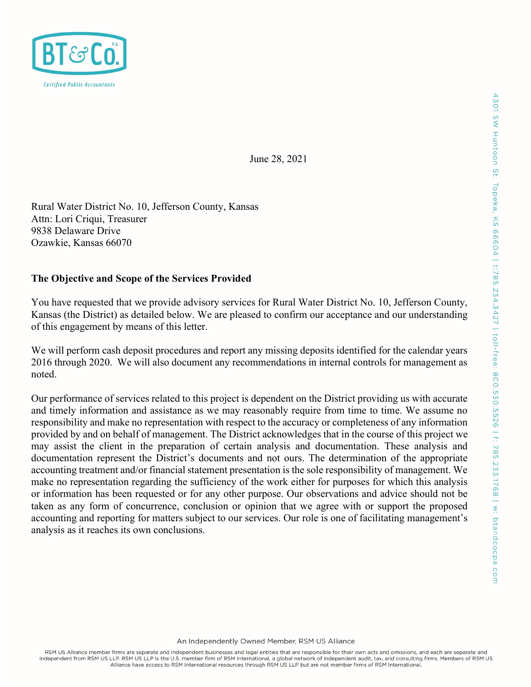

June 28, 2021

Rural Water District No. 10, Jefferson County, Kansas Attn: Lori Criqui, Treasurer 9838 Delaware Drive Ozawkie, Kansas 66070

### The Objective and Scope of the Services Provided

You have requested that we provide advisory services for Rural Water District No. 10, Jefferson County, Kansas (the District) as detailed below. We are pleased to confirm our acceptance and our understanding of this engagement by means of this letter.

We will perform cash deposit procedures and report any missing deposits identified for the calendar years 2016 through 2020. We will also document any recommendations in internal controls for management as noted.

Our performance of services related to this project is dependent on the District providing us with accurate and timely information and assistance as we may reasonably require from time to time. We assume no responsibility and make no representation with respect to the accuracy or completeness of any information provided by and on behalf of management. The District acknowledges that in the course of this project we may assist the client in the preparation of certain analysis and documentation. These analysis and documentation represent the District's documents and not ours. The determination of the appropriate accounting treatment and/or financial statement presentation is the sole responsibility of management. We make no representation regarding the sufficiency of the work either for purposes for which this analysis or information has been requested or for any other purpose. Our observations and advice should not be taken as any form of concurrence, conclusion or opinion that we agree with or support the proposed accounting and reporting for matters subject to our services. Our role is one of facilitating management's analysis as it reaches its own conclusions.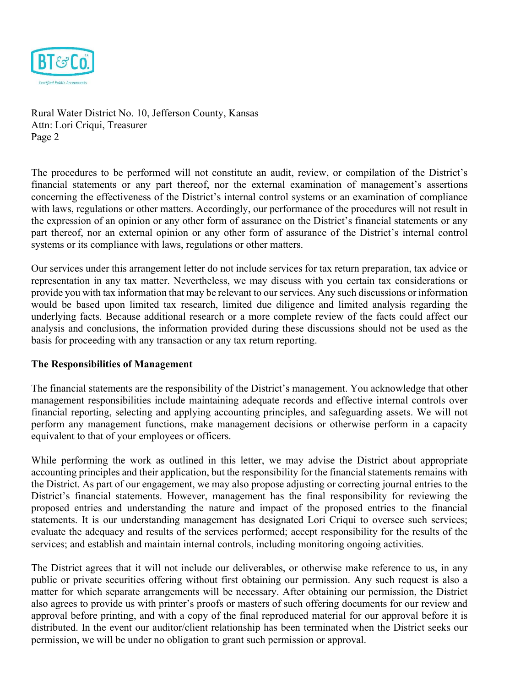

The procedures to be performed will not constitute an audit, review, or compilation of the District's financial statements or any part thereof, nor the external examination of management's assertions concerning the effectiveness of the District's internal control systems or an examination of compliance with laws, regulations or other matters. Accordingly, our performance of the procedures will not result in the expression of an opinion or any other form of assurance on the District's financial statements or any part thereof, nor an external opinion or any other form of assurance of the District's internal control systems or its compliance with laws, regulations or other matters.

Our services under this arrangement letter do not include services for tax return preparation, tax advice or representation in any tax matter. Nevertheless, we may discuss with you certain tax considerations or provide you with tax information that may be relevant to our services. Any such discussions or information would be based upon limited tax research, limited due diligence and limited analysis regarding the underlying facts. Because additional research or a more complete review of the facts could affect our analysis and conclusions, the information provided during these discussions should not be used as the basis for proceeding with any transaction or any tax return reporting.

#### The Responsibilities of Management

The financial statements are the responsibility of the District's management. You acknowledge that other management responsibilities include maintaining adequate records and effective internal controls over financial reporting, selecting and applying accounting principles, and safeguarding assets. We will not perform any management functions, make management decisions or otherwise perform in a capacity equivalent to that of your employees or officers.

While performing the work as outlined in this letter, we may advise the District about appropriate accounting principles and their application, but the responsibility for the financial statements remains with the District. As part of our engagement, we may also propose adjusting or correcting journal entries to the District's financial statements. However, management has the final responsibility for reviewing the proposed entries and understanding the nature and impact of the proposed entries to the financial statements. It is our understanding management has designated Lori Criqui to oversee such services; evaluate the adequacy and results of the services performed; accept responsibility for the results of the services; and establish and maintain internal controls, including monitoring ongoing activities.

The District agrees that it will not include our deliverables, or otherwise make reference to us, in any public or private securities offering without first obtaining our permission. Any such request is also a matter for which separate arrangements will be necessary. After obtaining our permission, the District also agrees to provide us with printer's proofs or masters of such offering documents for our review and approval before printing, and with a copy of the final reproduced material for our approval before it is distributed. In the event our auditor/client relationship has been terminated when the District seeks our permission, we will be under no obligation to grant such permission or approval.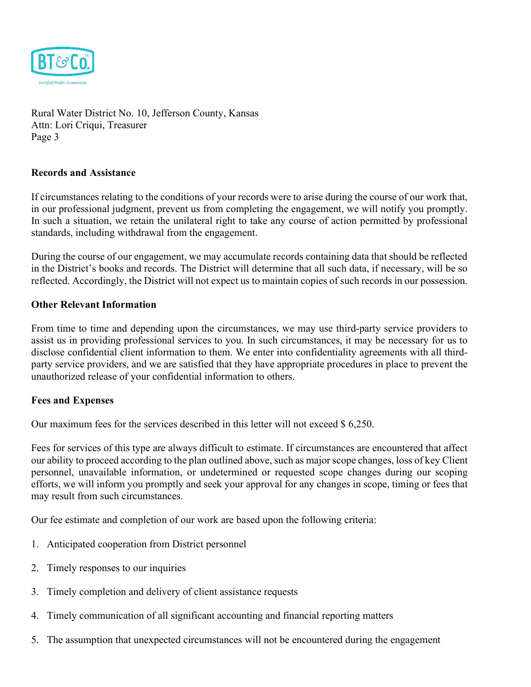

### Records and Assistance

If circumstances relating to the conditions of your records were to arise during the course of our work that, in our professional judgment, prevent us from completing the engagement, we will notify you promptly. In such a situation, we retain the unilateral right to take any course of action permitted by professional standards, including withdrawal from the engagement.

During the course of our engagement, we may accumulate records containing data that should be reflected in the District's books and records. The District will determine that all such data, if necessary, will be so reflected. Accordingly, the District will not expect us to maintain copies of such records in our possession.

### Other Relevant Information

From time to time and depending upon the circumstances, we may use third-party service providers to assist us in providing professional services to you. In such circumstances, it may be necessary for us to disclose confidential client information to them. We enter into confidentiality agreements with all thirdparty service providers, and we are satisfied that they have appropriate procedures in place to prevent the unauthorized release of your confidential information to others.

# Fees and Expenses

Our maximum fees for the services described in this letter will not exceed \$ 6,250.

Fees for services of this type are always difficult to estimate. If circumstances are encountered that affect our ability to proceed according to the plan outlined above, such as major scope changes, loss of key Client personnel, unavailable information, or undetermined or requested scope changes during our scoping efforts, we will inform you promptly and seek your approval for any changes in scope, timing or fees that may result from such circumstances.

Our fee estimate and completion of our work are based upon the following criteria:

- 1. Anticipated cooperation from District personnel
- 2. Timely responses to our inquiries
- 3. Timely completion and delivery of client assistance requests
- 4. Timely communication of all significant accounting and financial reporting matters
- 5. The assumption that unexpected circumstances will not be encountered during the engagement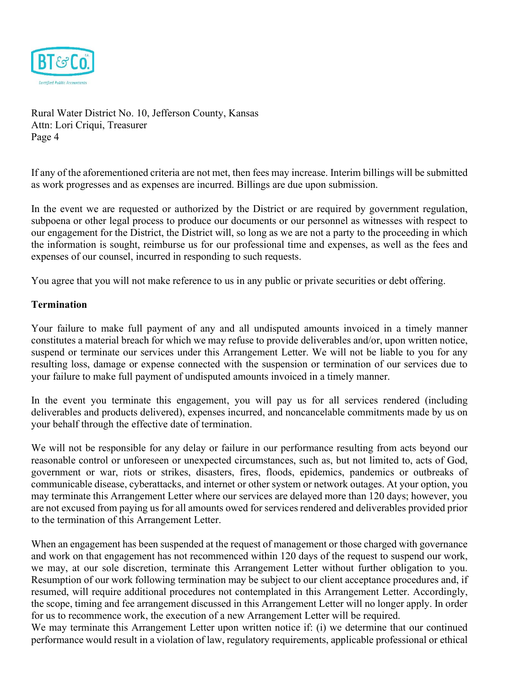

If any of the aforementioned criteria are not met, then fees may increase. Interim billings will be submitted as work progresses and as expenses are incurred. Billings are due upon submission.

In the event we are requested or authorized by the District or are required by government regulation, subpoena or other legal process to produce our documents or our personnel as witnesses with respect to our engagement for the District, the District will, so long as we are not a party to the proceeding in which the information is sought, reimburse us for our professional time and expenses, as well as the fees and expenses of our counsel, incurred in responding to such requests.

You agree that you will not make reference to us in any public or private securities or debt offering.

### Termination

Your failure to make full payment of any and all undisputed amounts invoiced in a timely manner constitutes a material breach for which we may refuse to provide deliverables and/or, upon written notice, suspend or terminate our services under this Arrangement Letter. We will not be liable to you for any resulting loss, damage or expense connected with the suspension or termination of our services due to your failure to make full payment of undisputed amounts invoiced in a timely manner.

In the event you terminate this engagement, you will pay us for all services rendered (including deliverables and products delivered), expenses incurred, and noncancelable commitments made by us on your behalf through the effective date of termination.

We will not be responsible for any delay or failure in our performance resulting from acts beyond our reasonable control or unforeseen or unexpected circumstances, such as, but not limited to, acts of God, government or war, riots or strikes, disasters, fires, floods, epidemics, pandemics or outbreaks of communicable disease, cyberattacks, and internet or other system or network outages. At your option, you may terminate this Arrangement Letter where our services are delayed more than 120 days; however, you are not excused from paying us for all amounts owed for services rendered and deliverables provided prior to the termination of this Arrangement Letter.

When an engagement has been suspended at the request of management or those charged with governance and work on that engagement has not recommenced within 120 days of the request to suspend our work, we may, at our sole discretion, terminate this Arrangement Letter without further obligation to you. Resumption of our work following termination may be subject to our client acceptance procedures and, if resumed, will require additional procedures not contemplated in this Arrangement Letter. Accordingly, the scope, timing and fee arrangement discussed in this Arrangement Letter will no longer apply. In order for us to recommence work, the execution of a new Arrangement Letter will be required.

We may terminate this Arrangement Letter upon written notice if: (i) we determine that our continued performance would result in a violation of law, regulatory requirements, applicable professional or ethical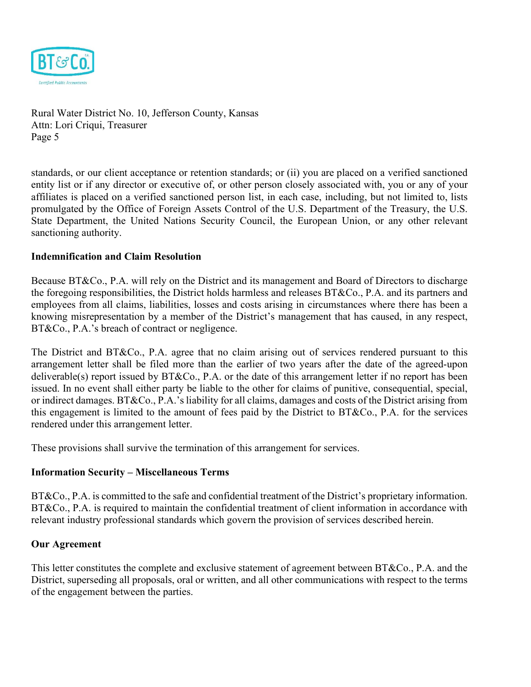

standards, or our client acceptance or retention standards; or (ii) you are placed on a verified sanctioned entity list or if any director or executive of, or other person closely associated with, you or any of your affiliates is placed on a verified sanctioned person list, in each case, including, but not limited to, lists promulgated by the Office of Foreign Assets Control of the U.S. Department of the Treasury, the U.S. State Department, the United Nations Security Council, the European Union, or any other relevant sanctioning authority.

### Indemnification and Claim Resolution

Because BT&Co., P.A. will rely on the District and its management and Board of Directors to discharge the foregoing responsibilities, the District holds harmless and releases BT&Co., P.A. and its partners and employees from all claims, liabilities, losses and costs arising in circumstances where there has been a knowing misrepresentation by a member of the District's management that has caused, in any respect, BT&Co., P.A.'s breach of contract or negligence.

The District and BT&Co., P.A. agree that no claim arising out of services rendered pursuant to this arrangement letter shall be filed more than the earlier of two years after the date of the agreed-upon deliverable(s) report issued by BT&Co., P.A. or the date of this arrangement letter if no report has been issued. In no event shall either party be liable to the other for claims of punitive, consequential, special, or indirect damages. BT&Co., P.A.'s liability for all claims, damages and costs of the District arising from this engagement is limited to the amount of fees paid by the District to BT&Co., P.A. for the services rendered under this arrangement letter.

These provisions shall survive the termination of this arrangement for services.

#### Information Security – Miscellaneous Terms

BT&Co., P.A. is committed to the safe and confidential treatment of the District's proprietary information. BT&Co., P.A. is required to maintain the confidential treatment of client information in accordance with relevant industry professional standards which govern the provision of services described herein.

#### Our Agreement

This letter constitutes the complete and exclusive statement of agreement between BT&Co., P.A. and the District, superseding all proposals, oral or written, and all other communications with respect to the terms of the engagement between the parties.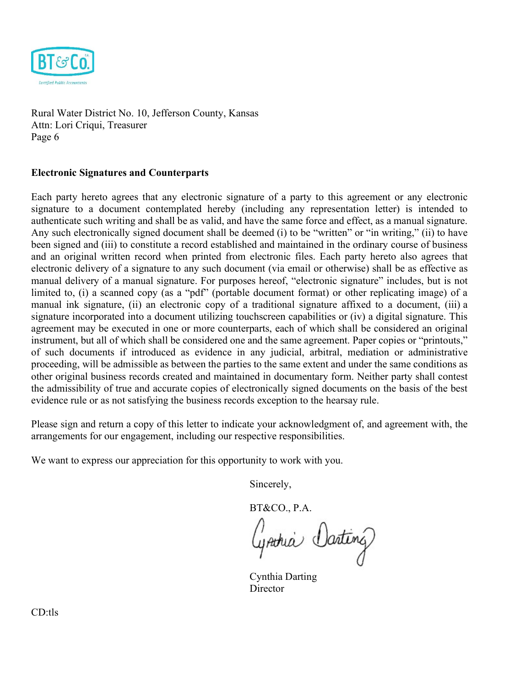

# Electronic Signatures and Counterparts

Each party hereto agrees that any electronic signature of a party to this agreement or any electronic signature to a document contemplated hereby (including any representation letter) is intended to authenticate such writing and shall be as valid, and have the same force and effect, as a manual signature. Any such electronically signed document shall be deemed (i) to be "written" or "in writing," (ii) to have been signed and (iii) to constitute a record established and maintained in the ordinary course of business and an original written record when printed from electronic files. Each party hereto also agrees that electronic delivery of a signature to any such document (via email or otherwise) shall be as effective as manual delivery of a manual signature. For purposes hereof, "electronic signature" includes, but is not limited to, (i) a scanned copy (as a "pdf" (portable document format) or other replicating image) of a manual ink signature, (ii) an electronic copy of a traditional signature affixed to a document, (iii) a signature incorporated into a document utilizing touchscreen capabilities or (iv) a digital signature. This agreement may be executed in one or more counterparts, each of which shall be considered an original instrument, but all of which shall be considered one and the same agreement. Paper copies or "printouts," of such documents if introduced as evidence in any judicial, arbitral, mediation or administrative proceeding, will be admissible as between the parties to the same extent and under the same conditions as other original business records created and maintained in documentary form. Neither party shall contest the admissibility of true and accurate copies of electronically signed documents on the basis of the best evidence rule or as not satisfying the business records exception to the hearsay rule.

Please sign and return a copy of this letter to indicate your acknowledgment of, and agreement with, the arrangements for our engagement, including our respective responsibilities.

We want to express our appreciation for this opportunity to work with you.

Sincerely,

BT&CO., P.A.

Grahia Darting

Cynthia Darting Director

CD:tls